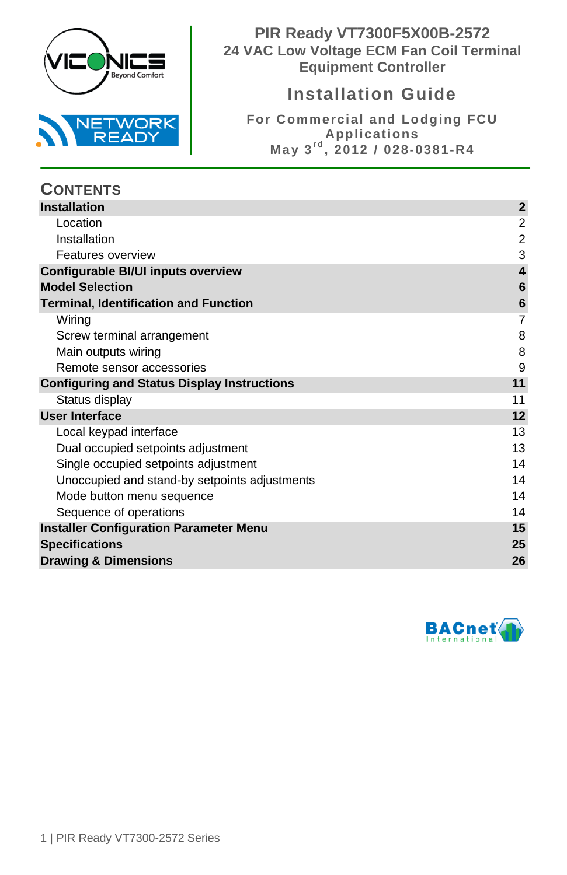

**PIR Ready VT7300F5X00B-2572 24 VAC Low Voltage ECM Fan Coil Terminal Equipment Controller**

# **Installation Guide**

**For Commercial and Lodging FCU Applications May 3r d , 2012 / 028-0381-R4**

| <b>CONTENTS</b>                                    |                         |
|----------------------------------------------------|-------------------------|
| <b>Installation</b>                                | $\mathbf{2}$            |
| Location                                           | 2                       |
| Installation                                       | $\overline{2}$          |
| Features overview                                  | 3                       |
| Configurable BI/UI inputs overview                 | $\overline{\mathbf{4}}$ |
| <b>Model Selection</b>                             | 6                       |
| <b>Terminal, Identification and Function</b>       | 6                       |
| Wiring                                             | 7                       |
| Screw terminal arrangement                         | 8                       |
| Main outputs wiring                                | 8                       |
| Remote sensor accessories                          | 9                       |
| <b>Configuring and Status Display Instructions</b> | 11                      |
| Status display                                     | 11                      |
| User Interface                                     | 12                      |
| Local keypad interface                             | 13                      |
| Dual occupied setpoints adjustment                 | 13                      |
| Single occupied setpoints adjustment               | 14                      |
| Unoccupied and stand-by setpoints adjustments      | 14                      |
| Mode button menu sequence                          | 14                      |
| Sequence of operations                             | 14                      |
| <b>Installer Configuration Parameter Menu</b>      | 15                      |
| <b>Specifications</b>                              | 25                      |
| <b>Drawing &amp; Dimensions</b>                    | 26                      |

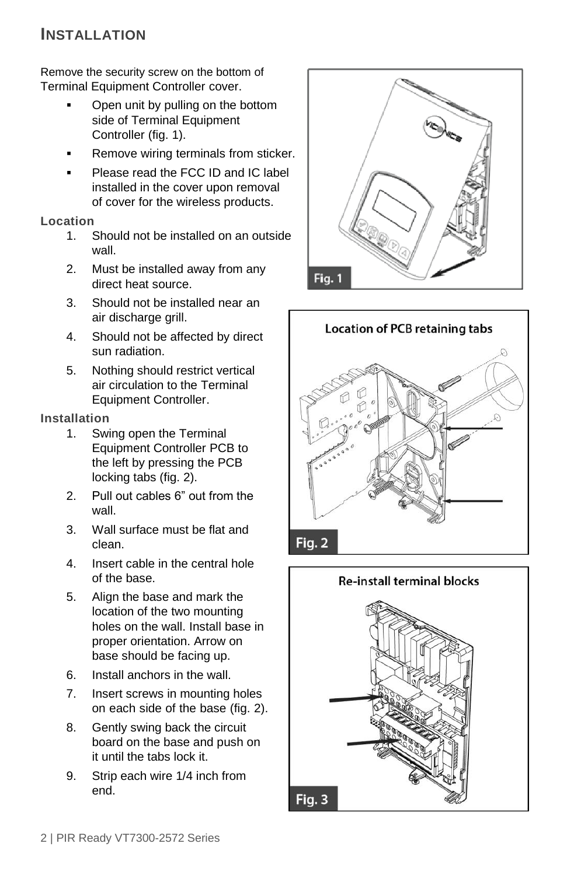# <span id="page-1-0"></span>**INSTALLATION**

Remove the security screw on the bottom of Terminal Equipment Controller cover.

- Open unit by pulling on the bottom side of Terminal Equipment Controller (fig. 1).
- Remove wiring terminals from sticker.
- Please read the FCC ID and IC label installed in the cover upon removal of cover for the wireless products.

### <span id="page-1-1"></span>**Location**

- 1. Should not be installed on an outside wall.
- 2. Must be installed away from any direct heat source.
- 3. Should not be installed near an air discharge grill.
- 4. Should not be affected by direct sun radiation.
- 5. Nothing should restrict vertical air circulation to the Terminal Equipment Controller.

### <span id="page-1-2"></span>**Installation**

- 1. Swing open the Terminal Equipment Controller PCB to the left by pressing the PCB locking tabs (fig. 2).
- 2. Pull out cables 6" out from the wall.
- 3. Wall surface must be flat and clean.
- 4. Insert cable in the central hole of the base.
- 5. Align the base and mark the location of the two mounting holes on the wall. Install base in proper orientation. Arrow on base should be facing up.
- 6. Install anchors in the wall.
- 7. Insert screws in mounting holes on each side of the base (fig. 2).
- 8. Gently swing back the circuit board on the base and push on it until the tabs lock it.
- 9. Strip each wire 1/4 inch from end.





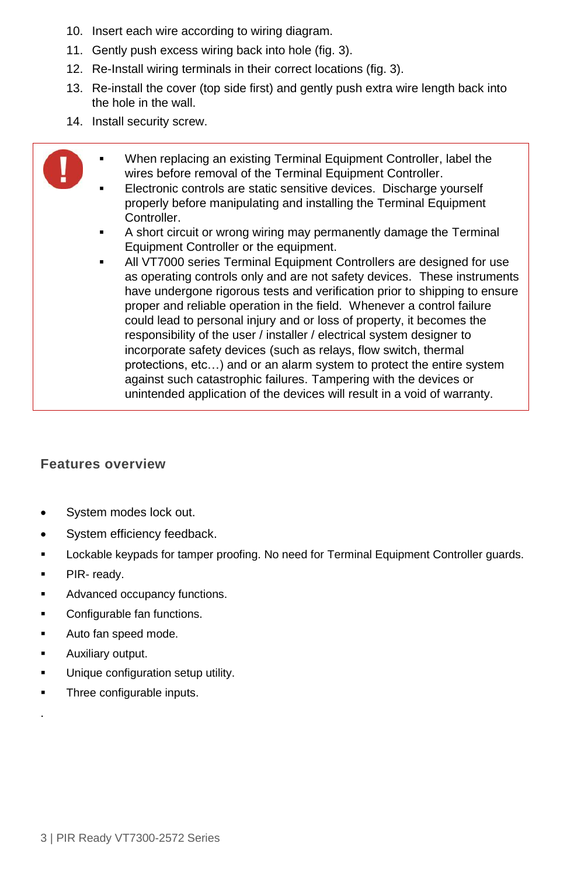- 10. Insert each wire according to wiring diagram.
- 11. Gently push excess wiring back into hole (fig. 3).
- 12. Re-Install wiring terminals in their correct locations (fig. 3).
- 13. Re-install the cover (top side first) and gently push extra wire length back into the hole in the wall.
- 14. Install security screw.
	- When replacing an existing Terminal Equipment Controller, label the wires before removal of the Terminal Equipment Controller.
	- Electronic controls are static sensitive devices. Discharge yourself properly before manipulating and installing the Terminal Equipment Controller.
	- A short circuit or wrong wiring may permanently damage the Terminal Equipment Controller or the equipment.
	- All VT7000 series Terminal Equipment Controllers are designed for use as operating controls only and are not safety devices. These instruments have undergone rigorous tests and verification prior to shipping to ensure proper and reliable operation in the field. Whenever a control failure could lead to personal injury and or loss of property, it becomes the responsibility of the user / installer / electrical system designer to incorporate safety devices (such as relays, flow switch, thermal protections, etc…) and or an alarm system to protect the entire system against such catastrophic failures. Tampering with the devices or unintended application of the devices will result in a void of warranty.

### <span id="page-2-0"></span>**Features overview**

- System modes lock out.
- System efficiency feedback.
- Lockable keypads for tamper proofing. No need for Terminal Equipment Controller guards.
- PIR- ready.
- Advanced occupancy functions.
- Configurable fan functions.
- Auto fan speed mode.
- Auxiliary output.

.

- **Unique configuration setup utility.**
- Three configurable inputs.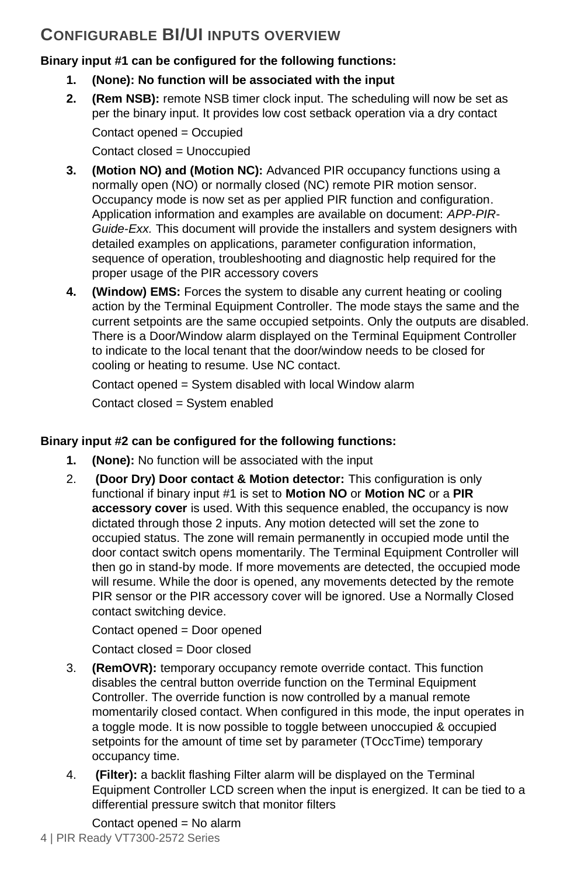# <span id="page-3-0"></span>**CONFIGURABLE BI/UI INPUTS OVERVIEW**

## **Binary input #1 can be configured for the following functions:**

- **1. (None): No function will be associated with the input**
- **2. (Rem NSB):** remote NSB timer clock input. The scheduling will now be set as per the binary input. It provides low cost setback operation via a dry contact

Contact opened = Occupied Contact closed = Unoccupied

- **3. (Motion NO) and (Motion NC):** Advanced PIR occupancy functions using a normally open (NO) or normally closed (NC) remote PIR motion sensor. Occupancy mode is now set as per applied PIR function and configuration. Application information and examples are available on document: *APP-PIR-Guide-Exx.* This document will provide the installers and system designers with detailed examples on applications, parameter configuration information, sequence of operation, troubleshooting and diagnostic help required for the proper usage of the PIR accessory covers
- **4. (Window) EMS:** Forces the system to disable any current heating or cooling action by the Terminal Equipment Controller. The mode stays the same and the current setpoints are the same occupied setpoints. Only the outputs are disabled. There is a Door/Window alarm displayed on the Terminal Equipment Controller to indicate to the local tenant that the door/window needs to be closed for cooling or heating to resume. Use NC contact.

Contact opened = System disabled with local Window alarm Contact closed = System enabled

## **Binary input #2 can be configured for the following functions:**

- **1. (None):** No function will be associated with the input
- 2. **(Door Dry) Door contact & Motion detector:** This configuration is only functional if binary input #1 is set to **Motion NO** or **Motion NC** or a **PIR accessory cover** is used. With this sequence enabled, the occupancy is now dictated through those 2 inputs. Any motion detected will set the zone to occupied status. The zone will remain permanently in occupied mode until the door contact switch opens momentarily. The Terminal Equipment Controller will then go in stand-by mode. If more movements are detected, the occupied mode will resume. While the door is opened, any movements detected by the remote PIR sensor or the PIR accessory cover will be ignored. Use a Normally Closed contact switching device.

Contact opened = Door opened

Contact closed = Door closed

- 3. **(RemOVR):** temporary occupancy remote override contact. This function disables the central button override function on the Terminal Equipment Controller. The override function is now controlled by a manual remote momentarily closed contact. When configured in this mode, the input operates in a toggle mode. It is now possible to toggle between unoccupied & occupied setpoints for the amount of time set by parameter (TOccTime) temporary occupancy time.
- 4. **(Filter):** a backlit flashing Filter alarm will be displayed on the Terminal Equipment Controller LCD screen when the input is energized. It can be tied to a differential pressure switch that monitor filters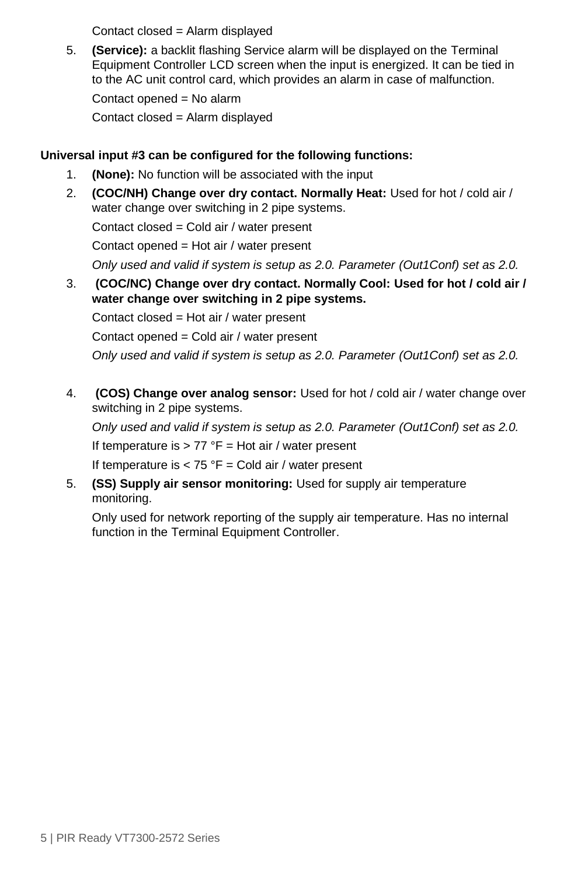Contact closed = Alarm displayed

5. **(Service):** a backlit flashing Service alarm will be displayed on the Terminal Equipment Controller LCD screen when the input is energized. It can be tied in to the AC unit control card, which provides an alarm in case of malfunction.

Contact opened = No alarm

Contact closed = Alarm displayed

## **Universal input #3 can be configured for the following functions:**

- 1. **(None):** No function will be associated with the input
- 2. **(COC/NH) Change over dry contact. Normally Heat:** Used for hot / cold air / water change over switching in 2 pipe systems. Contact closed = Cold air / water present Contact opened = Hot air / water present *Only used and valid if system is setup as 2.0. Parameter (Out1Conf) set as 2.0.* 3. **(COC/NC) Change over dry contact. Normally Cool: Used for hot / cold air / water change over switching in 2 pipe systems.**

Contact closed = Hot air / water present

Contact opened = Cold air / water present

*Only used and valid if system is setup as 2.0. Parameter (Out1Conf) set as 2.0.*

4. **(COS) Change over analog sensor:** Used for hot / cold air / water change over switching in 2 pipe systems.

*Only used and valid if system is setup as 2.0. Parameter (Out1Conf) set as 2.0.* If temperature is  $> 77$  °F = Hot air / water present

If temperature is  $< 75$  °F = Cold air / water present

5. **(SS) Supply air sensor monitoring:** Used for supply air temperature monitoring.

Only used for network reporting of the supply air temperature. Has no internal function in the Terminal Equipment Controller.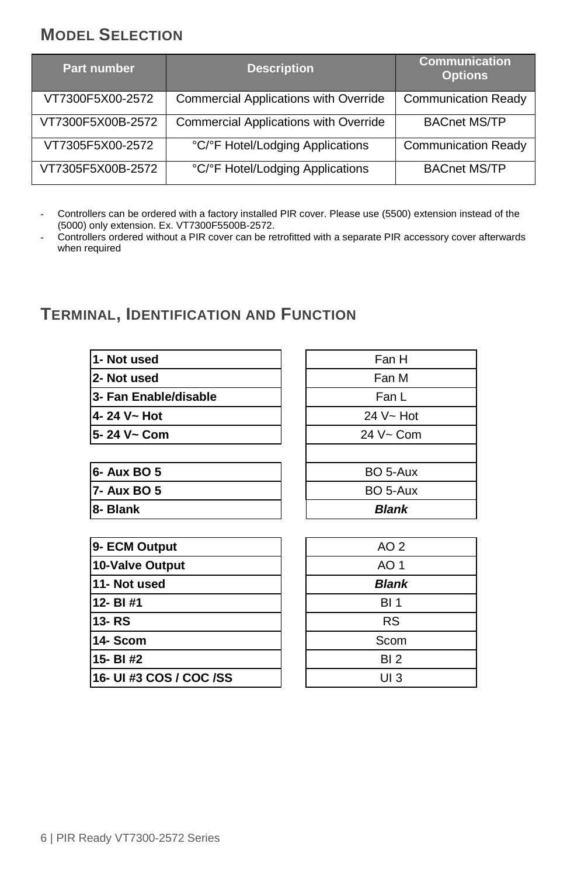# <span id="page-5-0"></span>**MODEL SELECTION**

| <b>Part number</b> | <b>Description</b>                    | <b>Communication</b><br><b>Options</b> |
|--------------------|---------------------------------------|----------------------------------------|
| VT7300F5X00-2572   | Commercial Applications with Override | <b>Communication Ready</b>             |
| VT7300F5X00B-2572  | Commercial Applications with Override | <b>BACnet MS/TP</b>                    |
| VT7305F5X00-2572   | °C/°F Hotel/Lodging Applications      | <b>Communication Ready</b>             |
| VT7305F5X00B-2572  | °C/°F Hotel/Lodging Applications      | <b>BACnet MS/TP</b>                    |

Controllers can be ordered with a factory installed PIR cover. Please use (5500) extension instead of the (5000) only extension. Ex. VT7300F5500B-2572.

- Controllers ordered without a PIR cover can be retrofitted with a separate PIR accessory cover afterwards when required

# <span id="page-5-1"></span>**TERMINAL, IDENTIFICATION AND FUNCTION**

| 1- Not used             | Fan H           |  |  |  |  |
|-------------------------|-----------------|--|--|--|--|
| 2- Not used             | Fan M           |  |  |  |  |
| 3- Fan Enable/disable   | Fan L           |  |  |  |  |
| 4-24 V~ Hot             | $24 V - Hot$    |  |  |  |  |
| 5-24 V~ Com             | 24 V~ Com       |  |  |  |  |
| 6- Aux BO 5             | BO 5-Aux        |  |  |  |  |
| 7- Aux BO 5             | BO 5-Aux        |  |  |  |  |
| 8- Blank                | <b>Blank</b>    |  |  |  |  |
|                         |                 |  |  |  |  |
| 9- ECM Output           | AO <sub>2</sub> |  |  |  |  |
| <b>10-Valve Output</b>  | AO 1            |  |  |  |  |
| 11- Not used            | <b>Blank</b>    |  |  |  |  |
| 12-BI#1                 | <b>BI</b> 1     |  |  |  |  |
| 13-RS                   | <b>RS</b>       |  |  |  |  |
| 14- Scom                | Scom            |  |  |  |  |
| 15- BI#2                | BI <sub>2</sub> |  |  |  |  |
| 16- UI #3 COS / COC /SS | UI 3            |  |  |  |  |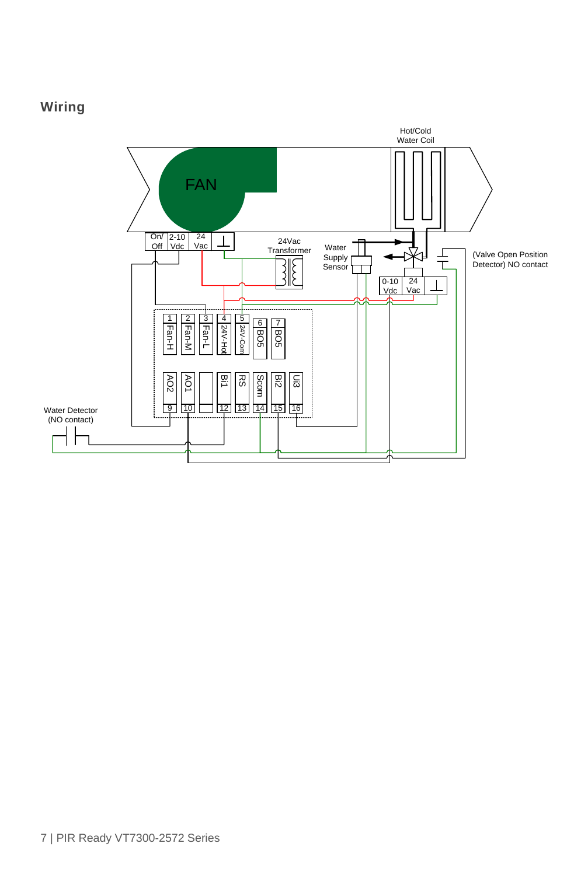# <span id="page-6-0"></span>**Wiring**

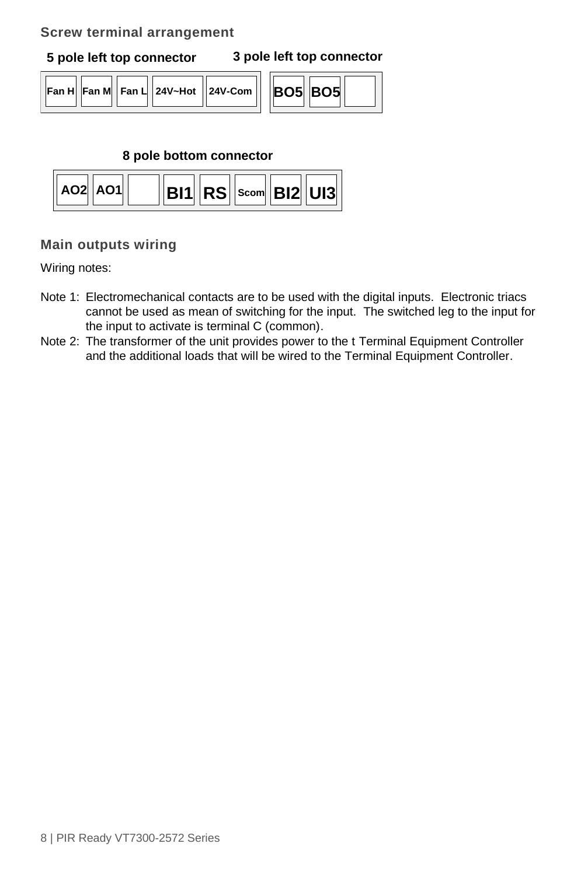## <span id="page-7-0"></span>**Screw terminal arrangement**

**5 pole left top connector 3 pole left top connector**

| │ Fan H│ Fan M│ Fan L│ 24V~Hot │ 24V-Com ││ │BO5│BO5 |  |  |
|------------------------------------------------------|--|--|
|------------------------------------------------------|--|--|

| 05 RO5 |
|--------|
|--------|

## **8 pole bottom connector**



# <span id="page-7-1"></span>**Main outputs wiring**

Wiring notes:

- Note 1: Electromechanical contacts are to be used with the digital inputs. Electronic triacs cannot be used as mean of switching for the input. The switched leg to the input for the input to activate is terminal C (common).
- Note 2: The transformer of the unit provides power to the t Terminal Equipment Controller and the additional loads that will be wired to the Terminal Equipment Controller.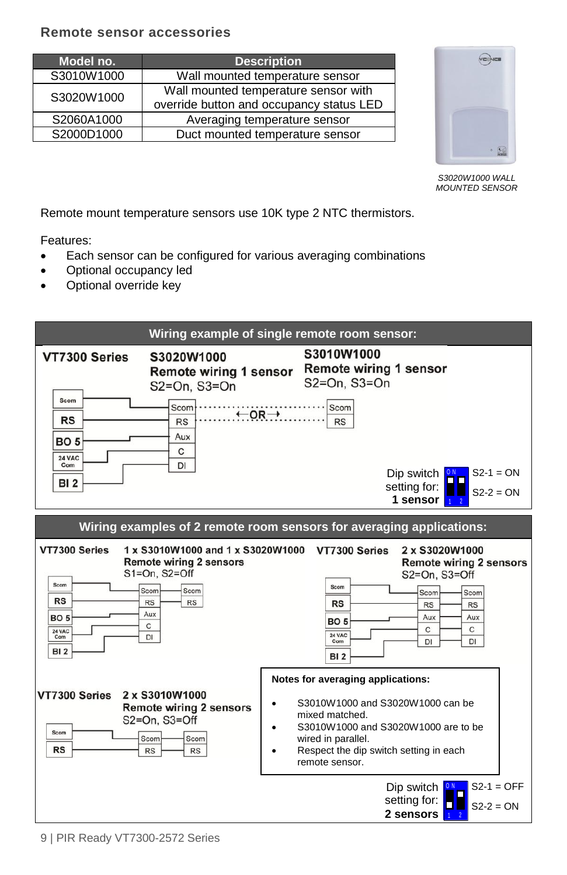## <span id="page-8-0"></span>**Remote sensor accessories**

| Model no.  | <b>Description</b>                       |
|------------|------------------------------------------|
| S3010W1000 | Wall mounted temperature sensor          |
| S3020W1000 | Wall mounted temperature sensor with     |
|            | override button and occupancy status LED |
| S2060A1000 | Averaging temperature sensor             |
| S2000D1000 | Duct mounted temperature sensor          |



*S3020W1000 WALL MOUNTED SENSOR*

Remote mount temperature sensors use 10K type 2 NTC thermistors.

Features:

- Each sensor can be configured for various averaging combinations
- Optional occupancy led
- Optional override key

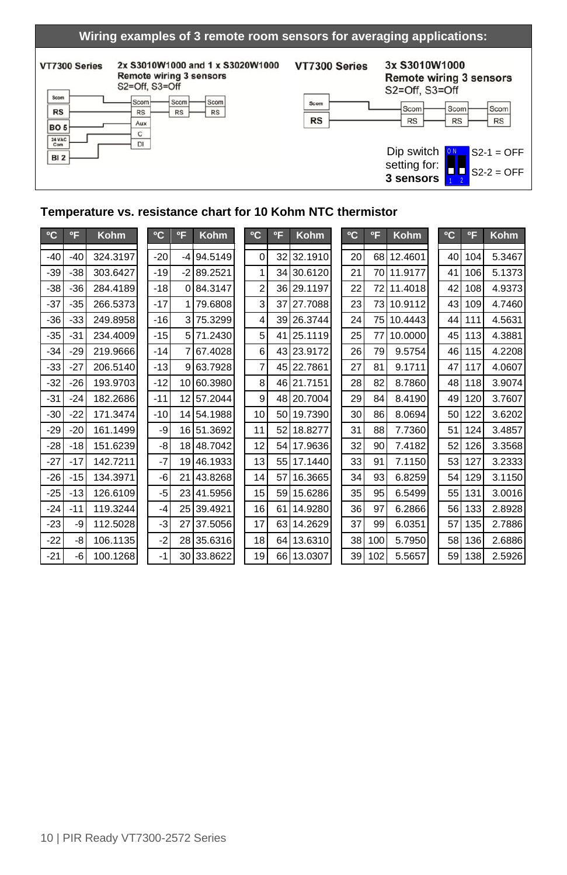#### **Wiring examples of 3 remote room sensors for averaging applications:**

### VT7300 Series

#### 2x S3010W1000 and 1 x S3020W1000 **Remote wiring 3 sensors**



VT7300 Series

3x S3010W1000 **Remote wiring 3 sensors** S2=Off, S3=Off





### **Temperature vs. resistance chart for 10 Kohm NTC thermistor**

| °C    | $^{\circ}$ F | Kohm     | °C    | °F   | Kohm        | °C             | °F | Kohm    | °C | °F  | Kohm    | °C | $^{\circ}$ F | <b>Kohm</b> |
|-------|--------------|----------|-------|------|-------------|----------------|----|---------|----|-----|---------|----|--------------|-------------|
| $-40$ | $-40$        | 324.3197 | $-20$ | $-4$ | 94.5149     | $\Omega$       | 32 | 32.1910 | 20 | 68  | 12.4601 | 40 | 104          | 5.3467      |
| $-39$ | $-38$        | 303.6427 | $-19$ |      | $-289.2521$ | 1              | 34 | 30.6120 | 21 | 70  | 11.9177 | 41 | 106          | 5.1373      |
| $-38$ | $-36$        | 284.4189 | $-18$ |      | 0 84.3147   | $\overline{2}$ | 36 | 29.1197 | 22 | 72  | 11.4018 | 42 | 108          | 4.9373      |
| $-37$ | $-35$        | 266.5373 | $-17$ |      | 79.6808     | 3              | 37 | 27.7088 | 23 | 73  | 10.9112 | 43 | 109          | 4.7460      |
| $-36$ | $-33$        | 249.8958 | $-16$ |      | 75.3299     | 4              | 39 | 26.3744 | 24 | 75  | 10.4443 | 44 | 111          | 4.5631      |
| $-35$ | $-31$        | 234.4009 | $-15$ |      | 5 71.2430   | 5              | 41 | 25.1119 | 25 | 77  | 10.0000 | 45 | 113          | 4.3881      |
| $-34$ | $-29$        | 219.9666 | $-14$ |      | 67.4028     | 6              | 43 | 23.9172 | 26 | 79  | 9.5754  | 46 | 115          | 4.2208      |
| $-33$ | $-27$        | 206.5140 | $-13$ | 9    | 63.7928     | 7              | 45 | 22.7861 | 27 | 81  | 9.1711  | 47 | 117          | 4.0607      |
| $-32$ | $-26$        | 193.9703 | $-12$ | 10   | 60.3980     | 8              | 46 | 21.7151 | 28 | 82  | 8.7860  | 48 | 118          | 3.9074      |
| $-31$ | $-24$        | 182.2686 | $-11$ | 12   | 57.2044     | 9              | 48 | 20.7004 | 29 | 84  | 8.4190  | 49 | 120          | 3.7607      |
| $-30$ | $-22$        | 171.3474 | $-10$ | 14   | 54.1988     | 10             | 50 | 19.7390 | 30 | 86  | 8.0694  | 50 | 122          | 3.6202      |
| $-29$ | $-20$        | 161.1499 | -9    | 16   | 51.3692     | 11             | 52 | 18.8277 | 31 | 88  | 7.7360  | 51 | 124          | 3.4857      |
| $-28$ | $-18$        | 151.6239 | -8    | 18   | 48.7042     | 12             | 54 | 17.9636 | 32 | 90  | 7.4182  | 52 | 126          | 3.3568      |
| $-27$ | $-17$        | 142.7211 | $-7$  | 19   | 46.1933     | 13             | 55 | 17.1440 | 33 | 91  | 7.1150  | 53 | 127          | 3.2333      |
| $-26$ | $-15$        | 134.3971 | -6    | 21   | 43.8268     | 14             | 57 | 16.3665 | 34 | 93  | 6.8259  | 54 | 129          | 3.1150      |
| $-25$ | $-13$        | 126.6109 | $-5$  | 23   | 41.5956     | 15             | 59 | 15.6286 | 35 | 95  | 6.5499  | 55 | 131          | 3.0016      |
| $-24$ | $-11$        | 119.3244 | $-4$  | 25   | 39.4921     | 16             | 61 | 14.9280 | 36 | 97  | 6.2866  | 56 | 133          | 2.8928      |
| $-23$ | -9           | 112.5028 | -3    | 27   | 37.5056     | 17             | 63 | 14.2629 | 37 | 99  | 6.0351  | 57 | 135          | 2.7886      |
| $-22$ | -8           | 106.1135 | $-2$  | 28   | 35.6316     | 18             | 64 | 13.6310 | 38 | 100 | 5.7950  | 58 | 136          | 2.6886      |
| $-21$ | -6           | 100.1268 | -1    | 30   | 33.8622     | 19             | 66 | 13.0307 | 39 | 102 | 5.5657  | 59 | 138          | 2.5926      |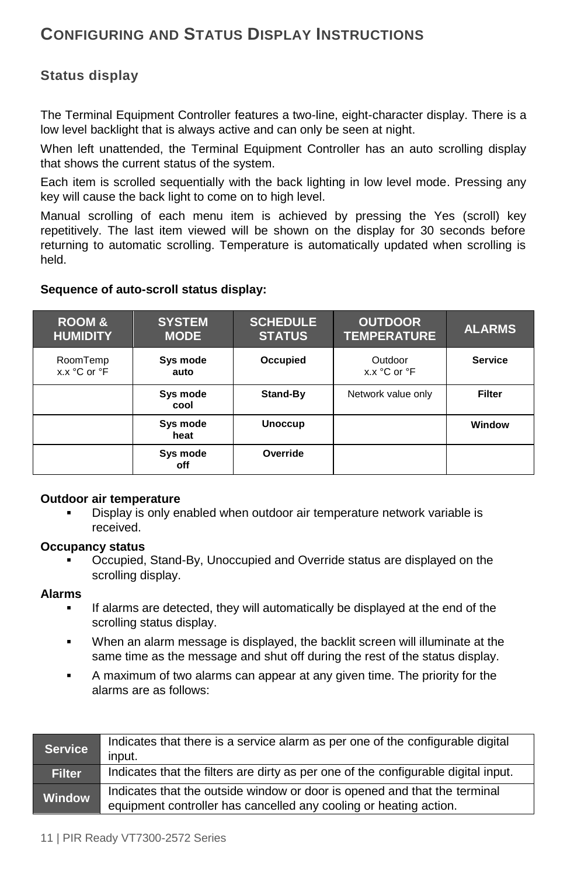# <span id="page-10-0"></span>**CONFIGURING AND STATUS DISPLAY INSTRUCTIONS**

# <span id="page-10-1"></span>**Status display**

The Terminal Equipment Controller features a two-line, eight-character display. There is a low level backlight that is always active and can only be seen at night.

When left unattended, the Terminal Equipment Controller has an auto scrolling display that shows the current status of the system.

Each item is scrolled sequentially with the back lighting in low level mode. Pressing any key will cause the back light to come on to high level.

Manual scrolling of each menu item is achieved by pressing the Yes (scroll) key repetitively. The last item viewed will be shown on the display for 30 seconds before returning to automatic scrolling. Temperature is automatically updated when scrolling is held.

### **Sequence of auto-scroll status display:**

| <b>ROOM &amp;</b><br><b>HUMIDITY</b> | <b>SYSTEM</b><br><b>MODE</b> | <b>SCHEDULE</b><br><b>STATUS</b> | <b>OUTDOOR</b><br><b>TEMPERATURE</b> | <b>ALARMS</b>  |
|--------------------------------------|------------------------------|----------------------------------|--------------------------------------|----------------|
| RoomTemp<br>x.x °C or °F             | Sys mode<br>auto             | Occupied                         | Outdoor<br>x.x °C or °F              | <b>Service</b> |
|                                      | Sys mode<br>cool             | Stand-By                         | Network value only                   | Filter         |
|                                      | Sys mode<br>heat             | <b>Unoccup</b>                   |                                      | Window         |
|                                      | Sys mode<br>off              | Override                         |                                      |                |

#### **Outdoor air temperature**

 Display is only enabled when outdoor air temperature network variable is received.

#### **Occupancy status**

 Occupied, Stand-By, Unoccupied and Override status are displayed on the scrolling display.

#### **Alarms**

- If alarms are detected, they will automatically be displayed at the end of the scrolling status display.
- When an alarm message is displayed, the backlit screen will illuminate at the same time as the message and shut off during the rest of the status display.
- A maximum of two alarms can appear at any given time. The priority for the alarms are as follows:

| <b>Service</b> | Indicates that there is a service alarm as per one of the configurable digital<br>input.                                                       |
|----------------|------------------------------------------------------------------------------------------------------------------------------------------------|
| <b>Filter</b>  | Indicates that the filters are dirty as per one of the configurable digital input.                                                             |
| <b>Window</b>  | Indicates that the outside window or door is opened and that the terminal<br>equipment controller has cancelled any cooling or heating action. |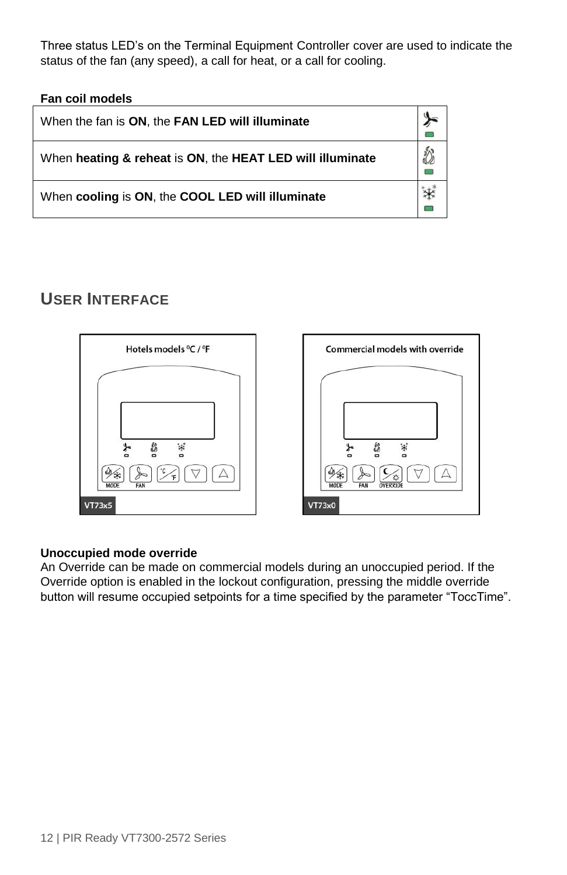Three status LED's on the Terminal Equipment Controller cover are used to indicate the status of the fan (any speed), a call for heat, or a call for cooling.

**Fan coil models** 

| When the fan is ON, the FAN LED will illuminate           |  |
|-----------------------------------------------------------|--|
| When heating & reheat is ON, the HEAT LED will illuminate |  |
| When cooling is ON, the COOL LED will illuminate          |  |

# <span id="page-11-0"></span>**USER INTERFACE**



### **Unoccupied mode override**

An Override can be made on commercial models during an unoccupied period. If the Override option is enabled in the lockout configuration, pressing the middle override button will resume occupied setpoints for a time specified by the parameter "ToccTime".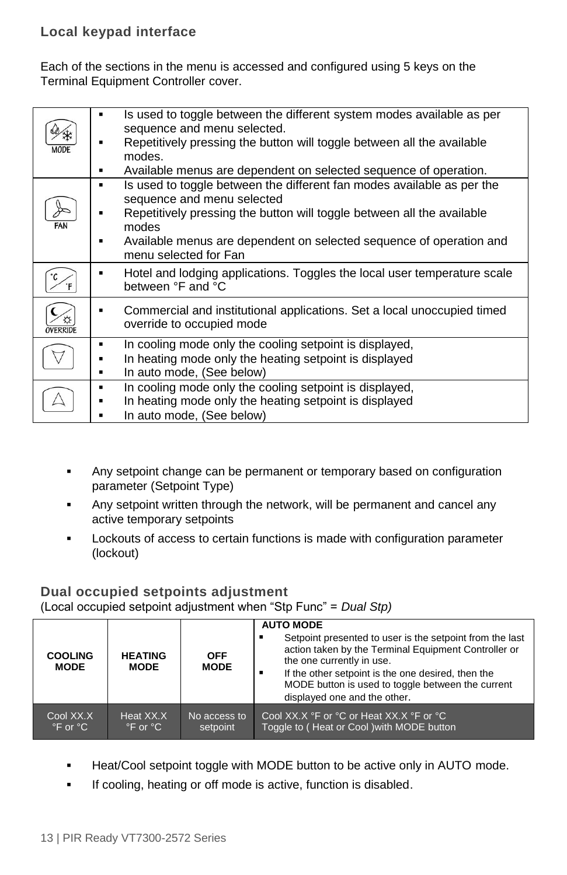<span id="page-12-0"></span>Each of the sections in the menu is accessed and configured using 5 keys on the Terminal Equipment Controller cover.

| MODI | Is used to toggle between the different system modes available as per<br>sequence and menu selected. |
|------|------------------------------------------------------------------------------------------------------|
|      | Repetitively pressing the button will toggle between all the available<br>modes.                     |
|      | Available menus are dependent on selected sequence of operation.                                     |
|      | Is used to toggle between the different fan modes available as per the                               |
|      | sequence and menu selected                                                                           |
|      | Repetitively pressing the button will toggle between all the available                               |
| FAN  | modes                                                                                                |
|      | Available menus are dependent on selected sequence of operation and                                  |
|      | menu selected for Fan                                                                                |
|      | Hotel and lodging applications. Toggles the local user temperature scale                             |
|      | between °F and °C                                                                                    |
|      | Commercial and institutional applications. Set a local unoccupied timed<br>override to occupied mode |
|      | In cooling mode only the cooling setpoint is displayed,                                              |
|      | In heating mode only the heating setpoint is displayed                                               |
|      |                                                                                                      |
|      | In auto mode, (See below)                                                                            |
|      | In cooling mode only the cooling setpoint is displayed,                                              |
|      | In heating mode only the heating setpoint is displayed                                               |
|      | In auto mode, (See below)                                                                            |
|      |                                                                                                      |

- Any setpoint change can be permanent or temporary based on configuration parameter (Setpoint Type)
- Any setpoint written through the network, will be permanent and cancel any active temporary setpoints
- **Lockouts of access to certain functions is made with configuration parameter** (lockout)

# <span id="page-12-1"></span>**Dual occupied setpoints adjustment**

(Local occupied setpoint adjustment when "Stp Func" = *Dual Stp)*

| <b>COOLING</b><br><b>MODE</b> | <b>HEATING</b><br><b>MODE</b> | <b>OFF</b><br><b>MODE</b> | <b>AUTO MODE</b><br>Setpoint presented to user is the setpoint from the last<br>action taken by the Terminal Equipment Controller or<br>the one currently in use.<br>If the other setpoint is the one desired, then the<br>MODE button is used to toggle between the current<br>displayed one and the other. |
|-------------------------------|-------------------------------|---------------------------|--------------------------------------------------------------------------------------------------------------------------------------------------------------------------------------------------------------------------------------------------------------------------------------------------------------|
| Cool XX.X                     | Heat XX.X                     | No access to              | Cool XX.X °F or °C or Heat XX.X °F or °C                                                                                                                                                                                                                                                                     |
| $\degree$ F or $\degree$ C    | $\degree$ F or $\degree$ C    | setpoint                  | Toggle to (Heat or Cool) with MODE button                                                                                                                                                                                                                                                                    |

- **Heat/Cool setpoint toggle with MODE button to be active only in AUTO mode.**
- **If cooling, heating or off mode is active, function is disabled.**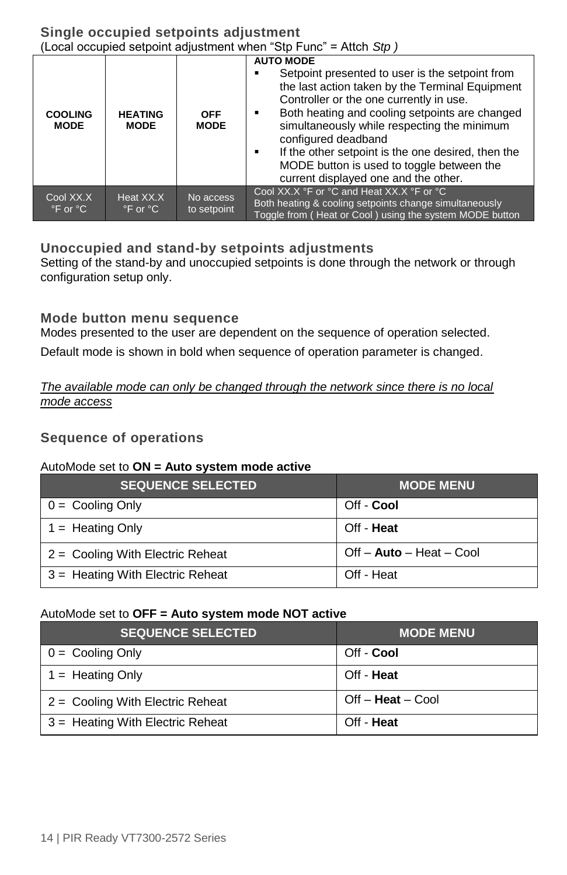<span id="page-13-0"></span>

| <b>COOLING</b><br><b>MODE</b>           | <b>HEATING</b><br><b>MODE</b>           | <b>OFF</b><br><b>MODE</b> | <b>AUTO MODE</b><br>Setpoint presented to user is the setpoint from<br>the last action taken by the Terminal Equipment<br>Controller or the one currently in use.<br>Both heating and cooling setpoints are changed<br>simultaneously while respecting the minimum<br>configured deadband<br>If the other setpoint is the one desired, then the<br>MODE button is used to toggle between the<br>current displayed one and the other. |
|-----------------------------------------|-----------------------------------------|---------------------------|--------------------------------------------------------------------------------------------------------------------------------------------------------------------------------------------------------------------------------------------------------------------------------------------------------------------------------------------------------------------------------------------------------------------------------------|
| Cool XX.X<br>$\degree$ F or $\degree$ C | Heat XX.X<br>$\degree$ F or $\degree$ C | No access<br>to setpoint  | Cool XX.X °F or °C and Heat XX.X °F or °C<br>Both heating & cooling setpoints change simultaneously<br>Toggle from (Heat or Cool) using the system MODE button                                                                                                                                                                                                                                                                       |

### <span id="page-13-1"></span>**Unoccupied and stand-by setpoints adjustments**

Setting of the stand-by and unoccupied setpoints is done through the network or through configuration setup only.

## <span id="page-13-2"></span>**Mode button menu sequence**

Modes presented to the user are dependent on the sequence of operation selected. Default mode is shown in bold when sequence of operation parameter is changed.

### *The available mode can only be changed through the network since there is no local mode access*

## <span id="page-13-3"></span>**Sequence of operations**

### AutoMode set to **ON = Auto system mode active**

| <b>SEQUENCE SELECTED</b>           | <b>MODE MENU</b>         |
|------------------------------------|--------------------------|
| $0 =$ Cooling Only                 | Off - Cool               |
| $1 =$ Heating Only                 | Off - Heat               |
| $2 =$ Cooling With Electric Reheat | Off - Auto - Heat - Cool |
| 3 = Heating With Electric Reheat   | Off - Heat               |

### AutoMode set to **OFF = Auto system mode NOT active**

| <b>SEQUENCE SELECTED</b>           | <b>MODE MENU</b>    |
|------------------------------------|---------------------|
| $0 =$ Cooling Only                 | Off - Cool          |
| $1 =$ Heating Only                 | Off - Heat          |
| $2 =$ Cooling With Electric Reheat | $Off - Heat - Cool$ |
| $3 =$ Heating With Electric Reheat | Off - Heat          |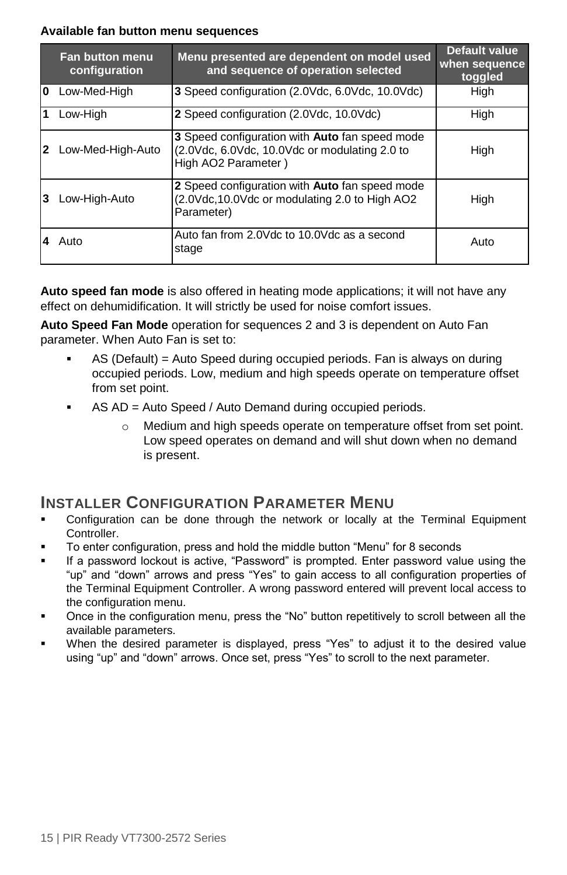### **Available fan button menu sequences**

|   | Fan button menu<br>configuration | Menu presented are dependent on model used<br>and sequence of operation selected                                       | <b>Default value</b><br>when sequence<br>toggled |
|---|----------------------------------|------------------------------------------------------------------------------------------------------------------------|--------------------------------------------------|
| 0 | Low-Med-High                     | 3 Speed configuration (2.0Vdc, 6.0Vdc, 10.0Vdc)                                                                        | High                                             |
|   | Low-High                         | 2 Speed configuration (2.0Vdc, 10.0Vdc)                                                                                | High                                             |
|   | Low-Med-High-Auto                | 3 Speed configuration with Auto fan speed mode<br>(2.0Vdc, 6.0Vdc, 10.0Vdc or modulating 2.0 to<br>High AO2 Parameter) | High                                             |
|   | Low-High-Auto                    | 2 Speed configuration with Auto fan speed mode<br>(2.0Vdc, 10.0Vdc or modulating 2.0 to High AO2)<br>Parameter)        | High                                             |
|   | Auto                             | Auto fan from 2.0Vdc to 10.0Vdc as a second<br>stage                                                                   | Auto                                             |

**Auto speed fan mode** is also offered in heating mode applications; it will not have any effect on dehumidification. It will strictly be used for noise comfort issues.

**Auto Speed Fan Mode** operation for sequences 2 and 3 is dependent on Auto Fan parameter. When Auto Fan is set to:

- AS (Default) = Auto Speed during occupied periods. Fan is always on during occupied periods. Low, medium and high speeds operate on temperature offset from set point.
- AS AD = Auto Speed / Auto Demand during occupied periods.
	- o Medium and high speeds operate on temperature offset from set point. Low speed operates on demand and will shut down when no demand is present.

# <span id="page-14-0"></span>**INSTALLER CONFIGURATION PARAMETER MENU**

- Configuration can be done through the network or locally at the Terminal Equipment Controller.
- To enter configuration, press and hold the middle button "Menu" for 8 seconds
- If a password lockout is active, "Password" is prompted. Enter password value using the "up" and "down" arrows and press "Yes" to gain access to all configuration properties of the Terminal Equipment Controller. A wrong password entered will prevent local access to the configuration menu.
- Once in the configuration menu, press the "No" button repetitively to scroll between all the available parameters.
- When the desired parameter is displayed, press "Yes" to adjust it to the desired value using "up" and "down" arrows. Once set, press "Yes" to scroll to the next parameter.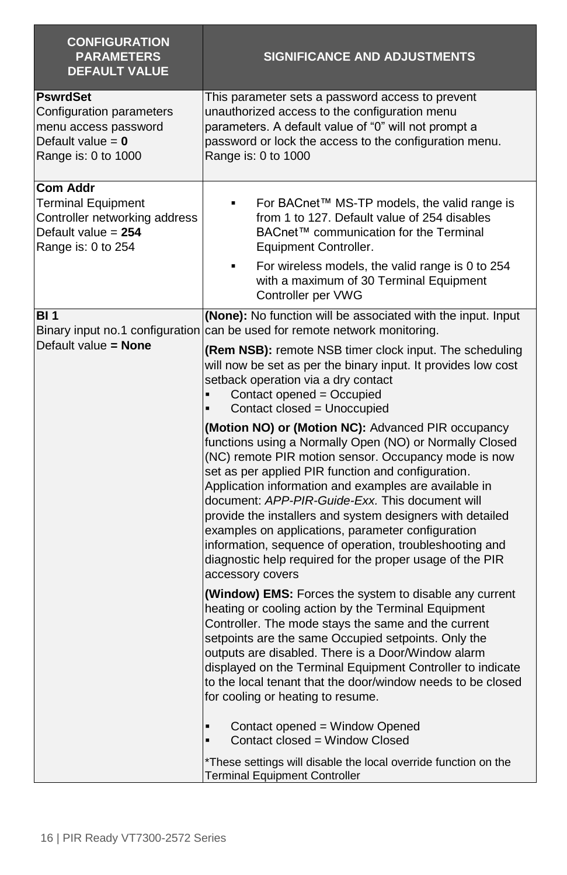| <b>CONFIGURATION</b><br><b>PARAMETERS</b><br><b>DEFAULT VALUE</b>                                                            | <b>SIGNIFICANCE AND ADJUSTMENTS</b>                                                                                                                                                                                                                                                                                                                                                                                                                                                                                                                                                                                                                                                                                                                                                                                                                                                                                                                                               |
|------------------------------------------------------------------------------------------------------------------------------|-----------------------------------------------------------------------------------------------------------------------------------------------------------------------------------------------------------------------------------------------------------------------------------------------------------------------------------------------------------------------------------------------------------------------------------------------------------------------------------------------------------------------------------------------------------------------------------------------------------------------------------------------------------------------------------------------------------------------------------------------------------------------------------------------------------------------------------------------------------------------------------------------------------------------------------------------------------------------------------|
| <b>PswrdSet</b><br>Configuration parameters<br>menu access password<br>Default value = $0$<br>Range is: 0 to 1000            | This parameter sets a password access to prevent<br>unauthorized access to the configuration menu<br>parameters. A default value of "0" will not prompt a<br>password or lock the access to the configuration menu.<br>Range is: 0 to 1000                                                                                                                                                                                                                                                                                                                                                                                                                                                                                                                                                                                                                                                                                                                                        |
| <b>Com Addr</b><br><b>Terminal Equipment</b><br>Controller networking address<br>Default value $= 254$<br>Range is: 0 to 254 | For BACnet™ MS-TP models, the valid range is<br>from 1 to 127. Default value of 254 disables<br>BACnet™ communication for the Terminal<br>Equipment Controller.<br>For wireless models, the valid range is 0 to 254<br>٠<br>with a maximum of 30 Terminal Equipment<br>Controller per VWG                                                                                                                                                                                                                                                                                                                                                                                                                                                                                                                                                                                                                                                                                         |
| <b>BI</b> 1<br>Default value = None                                                                                          | (None): No function will be associated with the input. Input<br>Binary input no.1 configuration can be used for remote network monitoring.<br>(Rem NSB): remote NSB timer clock input. The scheduling<br>will now be set as per the binary input. It provides low cost<br>setback operation via a dry contact<br>Contact opened = Occupied<br>Contact closed = Unoccupied<br>(Motion NO) or (Motion NC): Advanced PIR occupancy<br>functions using a Normally Open (NO) or Normally Closed<br>(NC) remote PIR motion sensor. Occupancy mode is now<br>set as per applied PIR function and configuration.<br>Application information and examples are available in<br>document: APP-PIR-Guide-Exx. This document will<br>provide the installers and system designers with detailed<br>examples on applications, parameter configuration<br>information, sequence of operation, troubleshooting and<br>diagnostic help required for the proper usage of the PIR<br>accessory covers |
|                                                                                                                              | (Window) EMS: Forces the system to disable any current<br>heating or cooling action by the Terminal Equipment<br>Controller. The mode stays the same and the current<br>setpoints are the same Occupied setpoints. Only the<br>outputs are disabled. There is a Door/Window alarm<br>displayed on the Terminal Equipment Controller to indicate<br>to the local tenant that the door/window needs to be closed<br>for cooling or heating to resume.<br>Contact opened = Window Opened<br>٠<br>$\blacksquare$<br>Contact closed = Window Closed<br>*These settings will disable the local override function on the<br><b>Terminal Equipment Controller</b>                                                                                                                                                                                                                                                                                                                         |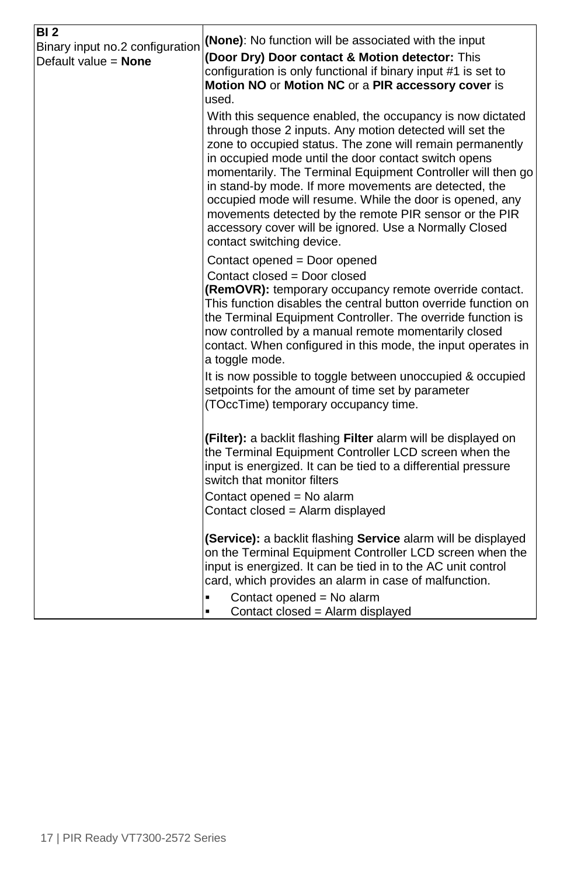| BI <sub>2</sub><br>Binary input no.2 configuration | (None): No function will be associated with the input                                                                         |
|----------------------------------------------------|-------------------------------------------------------------------------------------------------------------------------------|
| Default value $=$ <b>None</b>                      | (Door Dry) Door contact & Motion detector: This                                                                               |
|                                                    | configuration is only functional if binary input #1 is set to                                                                 |
|                                                    | Motion NO or Motion NC or a PIR accessory cover is                                                                            |
|                                                    | used.                                                                                                                         |
|                                                    | With this sequence enabled, the occupancy is now dictated                                                                     |
|                                                    | through those 2 inputs. Any motion detected will set the                                                                      |
|                                                    | zone to occupied status. The zone will remain permanently<br>in occupied mode until the door contact switch opens             |
|                                                    | momentarily. The Terminal Equipment Controller will then go                                                                   |
|                                                    | in stand-by mode. If more movements are detected, the                                                                         |
|                                                    | occupied mode will resume. While the door is opened, any                                                                      |
|                                                    | movements detected by the remote PIR sensor or the PIR                                                                        |
|                                                    | accessory cover will be ignored. Use a Normally Closed                                                                        |
|                                                    | contact switching device.                                                                                                     |
|                                                    | Contact opened = Door opened                                                                                                  |
|                                                    | Contact closed = Door closed                                                                                                  |
|                                                    | <b>(RemOVR):</b> temporary occupancy remote override contact.                                                                 |
|                                                    | This function disables the central button override function on<br>the Terminal Equipment Controller. The override function is |
|                                                    | now controlled by a manual remote momentarily closed                                                                          |
|                                                    | contact. When configured in this mode, the input operates in                                                                  |
|                                                    | a toggle mode.                                                                                                                |
|                                                    | It is now possible to toggle between unoccupied & occupied                                                                    |
|                                                    | setpoints for the amount of time set by parameter                                                                             |
|                                                    | (TOccTime) temporary occupancy time.                                                                                          |
|                                                    |                                                                                                                               |
|                                                    | (Filter): a backlit flashing Filter alarm will be displayed on                                                                |
|                                                    | the Terminal Equipment Controller LCD screen when the                                                                         |
|                                                    | input is energized. It can be tied to a differential pressure<br>switch that monitor filters                                  |
|                                                    | Contact opened = No alarm                                                                                                     |
|                                                    | Contact closed = Alarm displayed                                                                                              |
|                                                    |                                                                                                                               |
|                                                    | (Service): a backlit flashing Service alarm will be displayed                                                                 |
|                                                    | on the Terminal Equipment Controller LCD screen when the                                                                      |
|                                                    | input is energized. It can be tied in to the AC unit control                                                                  |
|                                                    | card, which provides an alarm in case of malfunction.                                                                         |
|                                                    | Contact opened = No alarm                                                                                                     |
|                                                    | Contact closed = Alarm displayed<br>٠                                                                                         |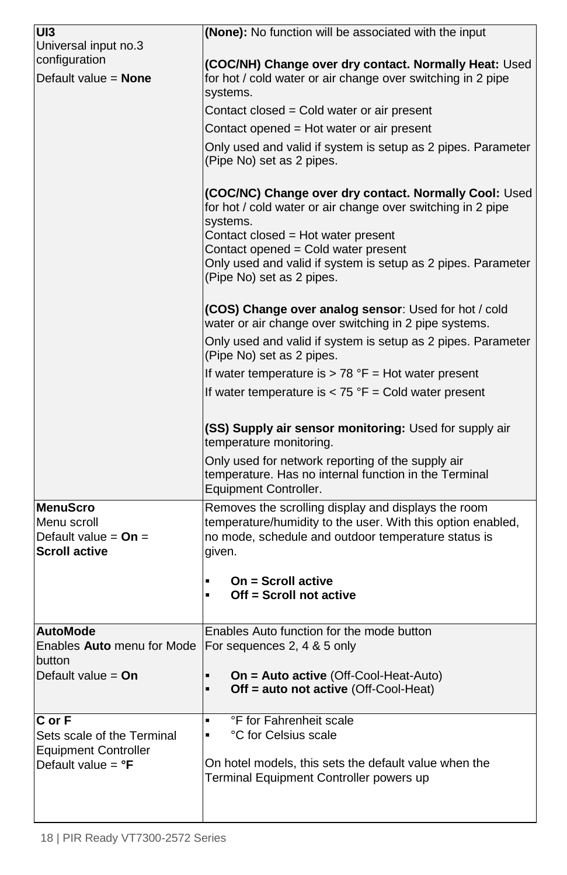| UI3                                                           | (None): No function will be associated with the input                                                                                                                               |  |  |
|---------------------------------------------------------------|-------------------------------------------------------------------------------------------------------------------------------------------------------------------------------------|--|--|
| Universal input no.3                                          |                                                                                                                                                                                     |  |  |
| configuration                                                 | (COC/NH) Change over dry contact. Normally Heat: Used                                                                                                                               |  |  |
| Default value = None                                          | for hot / cold water or air change over switching in 2 pipe<br>systems.                                                                                                             |  |  |
|                                                               | Contact closed = Cold water or air present                                                                                                                                          |  |  |
|                                                               | Contact opened = Hot water or air present                                                                                                                                           |  |  |
|                                                               | Only used and valid if system is setup as 2 pipes. Parameter                                                                                                                        |  |  |
|                                                               | (Pipe No) set as 2 pipes.                                                                                                                                                           |  |  |
|                                                               | (COC/NC) Change over dry contact. Normally Cool: Used<br>for hot / cold water or air change over switching in 2 pipe<br>systems.                                                    |  |  |
|                                                               | Contact closed = Hot water present                                                                                                                                                  |  |  |
|                                                               | Contact opened = Cold water present<br>Only used and valid if system is setup as 2 pipes. Parameter                                                                                 |  |  |
|                                                               | (Pipe No) set as 2 pipes.                                                                                                                                                           |  |  |
|                                                               | (COS) Change over analog sensor: Used for hot / cold<br>water or air change over switching in 2 pipe systems.                                                                       |  |  |
|                                                               | Only used and valid if system is setup as 2 pipes. Parameter<br>(Pipe No) set as 2 pipes.                                                                                           |  |  |
|                                                               | If water temperature is $> 78$ °F = Hot water present                                                                                                                               |  |  |
|                                                               | If water temperature is $<$ 75 °F = Cold water present                                                                                                                              |  |  |
|                                                               |                                                                                                                                                                                     |  |  |
|                                                               | (SS) Supply air sensor monitoring: Used for supply air<br>temperature monitoring.                                                                                                   |  |  |
|                                                               | Only used for network reporting of the supply air<br>temperature. Has no internal function in the Terminal<br>Equipment Controller.                                                 |  |  |
| <b>MenuScro</b>                                               |                                                                                                                                                                                     |  |  |
| Menu scroll<br>Default value = $On =$<br><b>Scroll active</b> | Removes the scrolling display and displays the room<br>temperature/humidity to the user. With this option enabled,<br>no mode, schedule and outdoor temperature status is<br>given. |  |  |
|                                                               |                                                                                                                                                                                     |  |  |
|                                                               | On = Scroll active<br>٠<br>Off = Scroll not active<br>٠                                                                                                                             |  |  |
| <b>AutoMode</b>                                               | Enables Auto function for the mode button                                                                                                                                           |  |  |
| Enables Auto menu for Mode   For sequences 2, 4 & 5 only      |                                                                                                                                                                                     |  |  |
| hutton                                                        |                                                                                                                                                                                     |  |  |
| Default value = $On$                                          | On = Auto active (Off-Cool-Heat-Auto)<br>٠<br>Off = auto not active (Off-Cool-Heat)<br>٠                                                                                            |  |  |
| C or F                                                        | °F for Fahrenheit scale<br>٠                                                                                                                                                        |  |  |
| Sets scale of the Terminal                                    | °C for Celsius scale<br>٠                                                                                                                                                           |  |  |
| <b>Equipment Controller</b>                                   |                                                                                                                                                                                     |  |  |
| Default value = $\mathrm{P}$ F                                | On hotel models, this sets the default value when the<br>Terminal Equipment Controller powers up                                                                                    |  |  |
|                                                               |                                                                                                                                                                                     |  |  |
|                                                               |                                                                                                                                                                                     |  |  |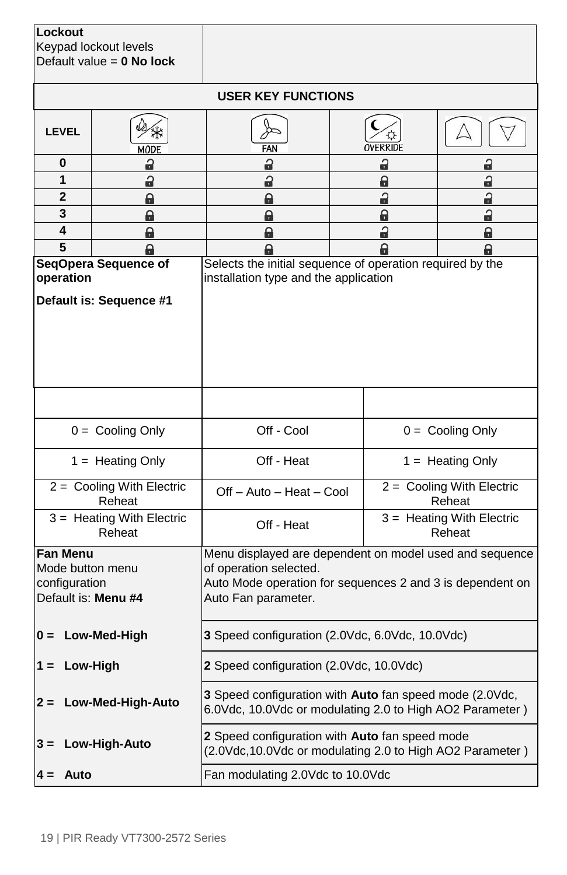| Lockout<br>Keypad lockout levels<br>Default value = $0$ No lock             |                                                 |                                                                                                                                                                       |                                     |                                       |  |
|-----------------------------------------------------------------------------|-------------------------------------------------|-----------------------------------------------------------------------------------------------------------------------------------------------------------------------|-------------------------------------|---------------------------------------|--|
|                                                                             | <b>USER KEY FUNCTIONS</b>                       |                                                                                                                                                                       |                                     |                                       |  |
| <b>LEVEL</b>                                                                | MODE                                            | FAN                                                                                                                                                                   | OVERRIDE                            |                                       |  |
| 0                                                                           | a                                               | a                                                                                                                                                                     | a                                   | a                                     |  |
| 1                                                                           | a                                               | å                                                                                                                                                                     | a                                   | a                                     |  |
| 2                                                                           | e                                               | a                                                                                                                                                                     | a                                   | a                                     |  |
| 3                                                                           | e                                               | a                                                                                                                                                                     | a                                   | a                                     |  |
| 4                                                                           | a                                               | a                                                                                                                                                                     | a                                   | a                                     |  |
| 5                                                                           | e                                               | Q                                                                                                                                                                     | Q                                   | e                                     |  |
| operation                                                                   | SeqOpera Sequence of<br>Default is: Sequence #1 | Selects the initial sequence of operation required by the<br>installation type and the application                                                                    |                                     |                                       |  |
|                                                                             |                                                 |                                                                                                                                                                       |                                     |                                       |  |
|                                                                             |                                                 | Off - Cool                                                                                                                                                            |                                     |                                       |  |
| $0 =$ Cooling Only                                                          |                                                 |                                                                                                                                                                       |                                     | $0 =$ Cooling Only                    |  |
| $1 =$ Heating Only                                                          |                                                 | Off - Heat                                                                                                                                                            |                                     | $1 =$ Heating Only                    |  |
|                                                                             | 2 = Cooling With Electric<br>Reheat             | Off - Auto - Heat - Cool                                                                                                                                              | 2 = Cooling With Electric<br>Reheat |                                       |  |
| $3 =$ Heating With Electric<br>Reheat                                       |                                                 | Off - Heat                                                                                                                                                            |                                     | $3 =$ Heating With Electric<br>Reheat |  |
| <b>Fan Menu</b><br>Mode button menu<br>configuration<br>Default is: Menu #4 |                                                 | Menu displayed are dependent on model used and sequence<br>of operation selected.<br>Auto Mode operation for sequences 2 and 3 is dependent on<br>Auto Fan parameter. |                                     |                                       |  |
| $0 = Low-Med-High$                                                          |                                                 | 3 Speed configuration (2.0Vdc, 6.0Vdc, 10.0Vdc)                                                                                                                       |                                     |                                       |  |
| 2 Speed configuration (2.0Vdc, 10.0Vdc)<br>$1 = Low-High$                   |                                                 |                                                                                                                                                                       |                                     |                                       |  |
| Low-Med-High-Auto<br>$2 =$                                                  |                                                 | 3 Speed configuration with Auto fan speed mode (2.0Vdc,<br>6.0Vdc, 10.0Vdc or modulating 2.0 to High AO2 Parameter)                                                   |                                     |                                       |  |
| $3 =$                                                                       | Low-High-Auto                                   | 2 Speed configuration with Auto fan speed mode<br>(2.0Vdc, 10.0Vdc or modulating 2.0 to High AO2 Parameter)                                                           |                                     |                                       |  |
| Auto<br>4 =                                                                 |                                                 | Fan modulating 2.0Vdc to 10.0Vdc                                                                                                                                      |                                     |                                       |  |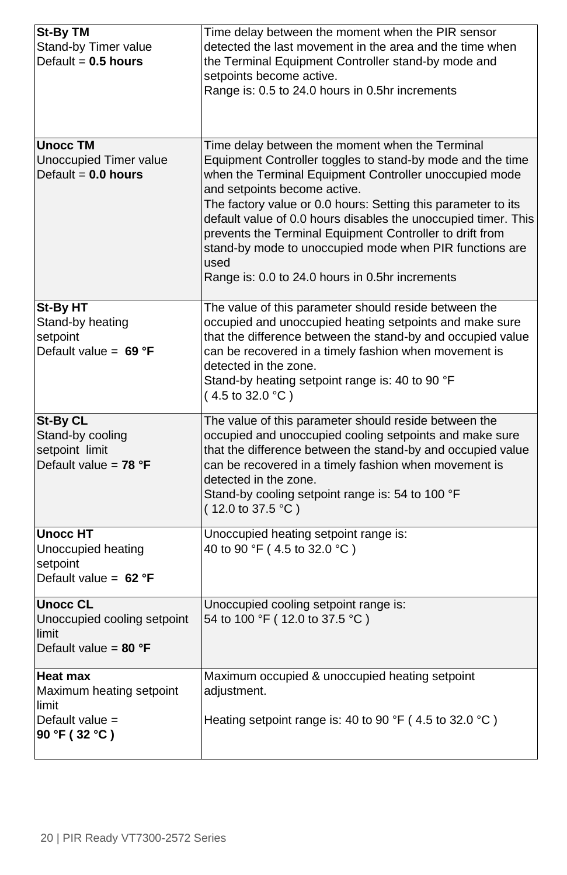| <b>St-By TM</b>                               | Time delay between the moment when the PIR sensor                           |
|-----------------------------------------------|-----------------------------------------------------------------------------|
| Stand-by Timer value<br>Default = $0.5$ hours | detected the last movement in the area and the time when                    |
|                                               | the Terminal Equipment Controller stand-by mode and                         |
|                                               | setpoints become active.<br>Range is: 0.5 to 24.0 hours in 0.5hr increments |
|                                               |                                                                             |
|                                               |                                                                             |
|                                               |                                                                             |
| <b>Unocc TM</b>                               | Time delay between the moment when the Terminal                             |
| Unoccupied Timer value                        | Equipment Controller toggles to stand-by mode and the time                  |
| Default = $0.0$ hours                         | when the Terminal Equipment Controller unoccupied mode                      |
|                                               | and setpoints become active.                                                |
|                                               | The factory value or 0.0 hours: Setting this parameter to its               |
|                                               | default value of 0.0 hours disables the unoccupied timer. This              |
|                                               | prevents the Terminal Equipment Controller to drift from                    |
|                                               | stand-by mode to unoccupied mode when PIR functions are                     |
|                                               | used<br>Range is: 0.0 to 24.0 hours in 0.5hr increments                     |
|                                               |                                                                             |
| St-By HT                                      | The value of this parameter should reside between the                       |
| Stand-by heating                              | occupied and unoccupied heating setpoints and make sure                     |
| setpoint                                      | that the difference between the stand-by and occupied value                 |
| Default value = $69 °F$                       | can be recovered in a timely fashion when movement is                       |
|                                               | detected in the zone.                                                       |
|                                               | Stand-by heating setpoint range is: 40 to 90 °F                             |
|                                               | $(4.5 \text{ to } 32.0 \text{ °C})$                                         |
| <b>St-By CL</b>                               | The value of this parameter should reside between the                       |
| Stand-by cooling                              | occupied and unoccupied cooling setpoints and make sure                     |
| setpoint limit                                | that the difference between the stand-by and occupied value                 |
| Default value = $78 °F$                       | can be recovered in a timely fashion when movement is                       |
|                                               | detected in the zone.                                                       |
|                                               | Stand-by cooling setpoint range is: 54 to 100 °F                            |
|                                               | $(12.0 \text{ to } 37.5 \text{ °C})$                                        |
| <b>Unocc HT</b>                               | Unoccupied heating setpoint range is:                                       |
| Unoccupied heating                            | 40 to 90 °F (4.5 to 32.0 °C)                                                |
| setpoint                                      |                                                                             |
| Default value = $62 °F$                       |                                                                             |
| <b>Unocc CL</b>                               | Unoccupied cooling setpoint range is:                                       |
| Unoccupied cooling setpoint                   | 54 to 100 °F (12.0 to 37.5 °C)                                              |
| limit                                         |                                                                             |
| Default value = $80 °F$                       |                                                                             |
|                                               |                                                                             |
| <b>Heat max</b>                               | Maximum occupied & unoccupied heating setpoint                              |
| Maximum heating setpoint<br>limit             | adjustment.                                                                 |
| Default value =                               | Heating setpoint range is: 40 to 90 °F (4.5 to 32.0 °C)                     |
| 90 °F (32 °C)                                 |                                                                             |
|                                               |                                                                             |
|                                               |                                                                             |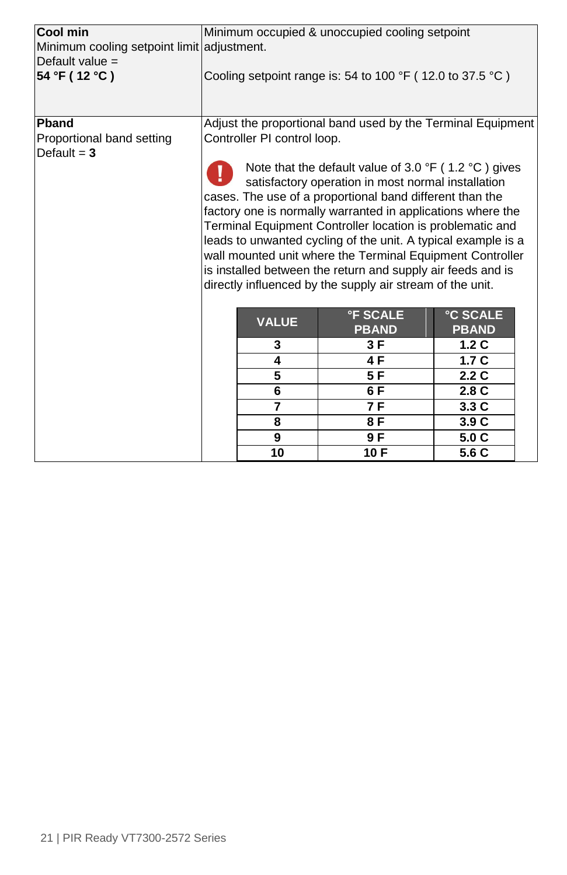| Cool min<br>Minimum cooling setpoint limit adjustment. | Minimum occupied & unoccupied cooling setpoint                                                                                                                                                                                                                                                                                                                                                                                                                                                                                                                                 |                |                                 |                                 |  |
|--------------------------------------------------------|--------------------------------------------------------------------------------------------------------------------------------------------------------------------------------------------------------------------------------------------------------------------------------------------------------------------------------------------------------------------------------------------------------------------------------------------------------------------------------------------------------------------------------------------------------------------------------|----------------|---------------------------------|---------------------------------|--|
| Default value =<br>54 °F (12 °C)                       | Cooling setpoint range is: 54 to 100 $\degree$ F (12.0 to 37.5 $\degree$ C)                                                                                                                                                                                                                                                                                                                                                                                                                                                                                                    |                |                                 |                                 |  |
|                                                        |                                                                                                                                                                                                                                                                                                                                                                                                                                                                                                                                                                                |                |                                 |                                 |  |
| Pband<br>Proportional band setting<br>Default $=$ 3    | Adjust the proportional band used by the Terminal Equipment<br>Controller PI control loop.                                                                                                                                                                                                                                                                                                                                                                                                                                                                                     |                |                                 |                                 |  |
|                                                        | Note that the default value of 3.0 $\degree$ F (1.2 $\degree$ C) gives<br>satisfactory operation in most normal installation<br>cases. The use of a proportional band different than the<br>factory one is normally warranted in applications where the<br>Terminal Equipment Controller location is problematic and<br>leads to unwanted cycling of the unit. A typical example is a<br>wall mounted unit where the Terminal Equipment Controller<br>is installed between the return and supply air feeds and is<br>directly influenced by the supply air stream of the unit. |                |                                 |                                 |  |
|                                                        |                                                                                                                                                                                                                                                                                                                                                                                                                                                                                                                                                                                | <b>VALUE</b>   | <b>°F SCALE</b><br><b>PBAND</b> | <b>°C SCALE</b><br><b>PBAND</b> |  |
|                                                        |                                                                                                                                                                                                                                                                                                                                                                                                                                                                                                                                                                                | 3              | 3 F                             | 1.2C                            |  |
|                                                        |                                                                                                                                                                                                                                                                                                                                                                                                                                                                                                                                                                                | 4              | 4F                              | 1.7 <sub>C</sub>                |  |
|                                                        |                                                                                                                                                                                                                                                                                                                                                                                                                                                                                                                                                                                | 5              | 5F                              | 2.2C                            |  |
|                                                        |                                                                                                                                                                                                                                                                                                                                                                                                                                                                                                                                                                                | 6              | 6 F                             | 2.8C                            |  |
|                                                        |                                                                                                                                                                                                                                                                                                                                                                                                                                                                                                                                                                                | $\overline{7}$ | 7 F                             | 3.3C                            |  |
|                                                        |                                                                                                                                                                                                                                                                                                                                                                                                                                                                                                                                                                                | 8              | 8 F                             | 3.9C                            |  |
|                                                        |                                                                                                                                                                                                                                                                                                                                                                                                                                                                                                                                                                                | 9              | 9 F                             | 5.0C                            |  |
|                                                        |                                                                                                                                                                                                                                                                                                                                                                                                                                                                                                                                                                                | 10             | 10F                             | 5.6 C                           |  |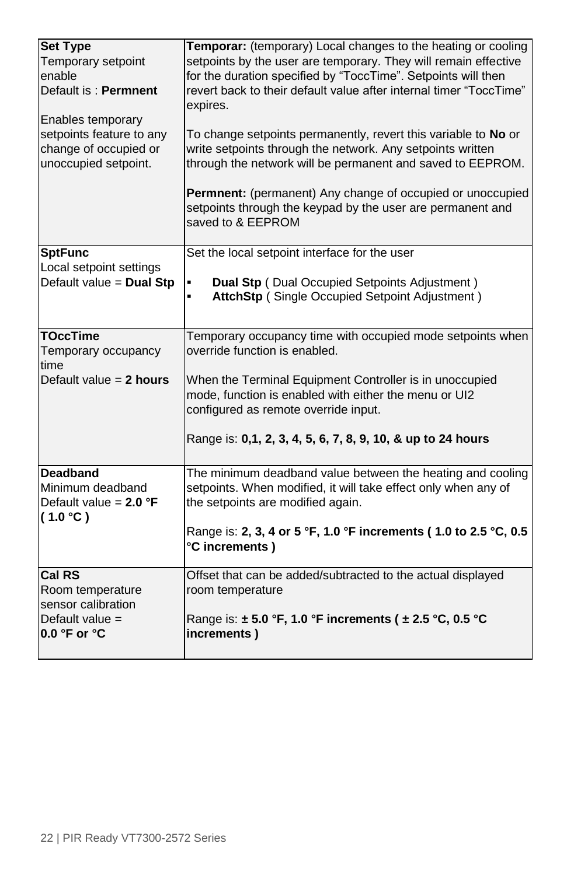| <b>Set Type</b><br>Temporary setpoint<br>enable<br>Default is: Permnent<br>Enables temporary<br>setpoints feature to any<br>change of occupied or<br>unoccupied setpoint. | Temporar: (temporary) Local changes to the heating or cooling<br>setpoints by the user are temporary. They will remain effective<br>for the duration specified by "ToccTime". Setpoints will then<br>revert back to their default value after internal timer "ToccTime"<br>expires.<br>To change setpoints permanently, revert this variable to No or<br>write setpoints through the network. Any setpoints written<br>through the network will be permanent and saved to EEPROM. |
|---------------------------------------------------------------------------------------------------------------------------------------------------------------------------|-----------------------------------------------------------------------------------------------------------------------------------------------------------------------------------------------------------------------------------------------------------------------------------------------------------------------------------------------------------------------------------------------------------------------------------------------------------------------------------|
|                                                                                                                                                                           | Permnent: (permanent) Any change of occupied or unoccupied<br>setpoints through the keypad by the user are permanent and<br>saved to & EEPROM                                                                                                                                                                                                                                                                                                                                     |
| <b>SptFunc</b><br>Local setpoint settings<br>Default value = Dual Stp                                                                                                     | Set the local setpoint interface for the user<br>Dual Stp (Dual Occupied Setpoints Adjustment)<br>٠<br>AttchStp (Single Occupied Setpoint Adjustment)<br>$\blacksquare$                                                                                                                                                                                                                                                                                                           |
| <b>TOccTime</b><br>Temporary occupancy<br>time                                                                                                                            | Temporary occupancy time with occupied mode setpoints when<br>override function is enabled.                                                                                                                                                                                                                                                                                                                                                                                       |
| Default value $= 2$ hours                                                                                                                                                 | When the Terminal Equipment Controller is in unoccupied<br>mode, function is enabled with either the menu or UI2<br>configured as remote override input.                                                                                                                                                                                                                                                                                                                          |
|                                                                                                                                                                           | Range is: 0,1, 2, 3, 4, 5, 6, 7, 8, 9, 10, & up to 24 hours                                                                                                                                                                                                                                                                                                                                                                                                                       |
| <b>Deadband</b><br>Minimum deadband<br>Default value = $2.0$ °F<br>(1.0 °C)                                                                                               | The minimum deadband value between the heating and cooling<br>setpoints. When modified, it will take effect only when any of<br>the setpoints are modified again.                                                                                                                                                                                                                                                                                                                 |
|                                                                                                                                                                           | Range is: 2, 3, 4 or 5 °F, 1.0 °F increments (1.0 to 2.5 °C, 0.5<br>°C increments)                                                                                                                                                                                                                                                                                                                                                                                                |
| <b>Cal RS</b>                                                                                                                                                             | Offset that can be added/subtracted to the actual displayed                                                                                                                                                                                                                                                                                                                                                                                                                       |
| Room temperature<br>sensor calibration                                                                                                                                    | room temperature                                                                                                                                                                                                                                                                                                                                                                                                                                                                  |
| Default value =<br>0.0 °F or °C                                                                                                                                           | Range is: ± 5.0 °F, 1.0 °F increments ( ± 2.5 °C, 0.5 °C<br>increments)                                                                                                                                                                                                                                                                                                                                                                                                           |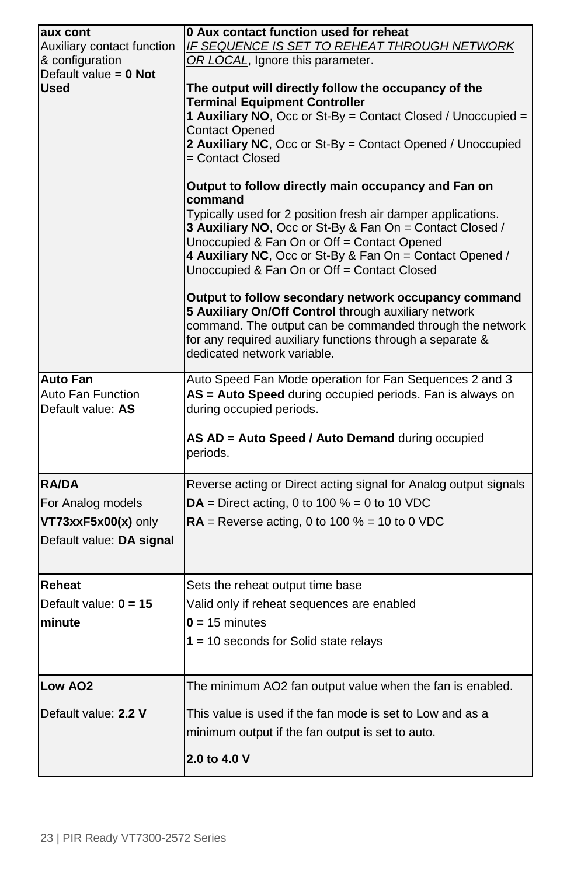| aux cont<br>Auxiliary contact function<br>& configuration<br>Default value = $0$ Not<br><b>Used</b> | 0 Aux contact function used for reheat<br><b>IF SEQUENCE IS SET TO REHEAT THROUGH NETWORK</b><br>OR LOCAL, Ignore this parameter.<br>The output will directly follow the occupancy of the<br><b>Terminal Equipment Controller</b><br>1 Auxiliary NO, Occ or St-By = Contact Closed / Unoccupied =<br><b>Contact Opened</b><br>2 Auxiliary NC, Occ or St-By = Contact Opened / Unoccupied<br>= Contact Closed<br>Output to follow directly main occupancy and Fan on<br>command<br>Typically used for 2 position fresh air damper applications.<br>3 Auxiliary NO, Occ or St-By & Fan On = Contact Closed /<br>Unoccupied & Fan On or Off = Contact Opened<br>4 Auxiliary NC, Occ or St-By & Fan On = Contact Opened /<br>Unoccupied & Fan On or Off = Contact Closed<br>Output to follow secondary network occupancy command<br>5 Auxiliary On/Off Control through auxiliary network<br>command. The output can be commanded through the network<br>for any required auxiliary functions through a separate &<br>dedicated network variable. |
|-----------------------------------------------------------------------------------------------------|----------------------------------------------------------------------------------------------------------------------------------------------------------------------------------------------------------------------------------------------------------------------------------------------------------------------------------------------------------------------------------------------------------------------------------------------------------------------------------------------------------------------------------------------------------------------------------------------------------------------------------------------------------------------------------------------------------------------------------------------------------------------------------------------------------------------------------------------------------------------------------------------------------------------------------------------------------------------------------------------------------------------------------------------|
| <b>Auto Fan</b><br>Auto Fan Function<br>Default value: AS                                           | Auto Speed Fan Mode operation for Fan Sequences 2 and 3<br>AS = Auto Speed during occupied periods. Fan is always on<br>during occupied periods.<br>AS AD = Auto Speed / Auto Demand during occupied<br>periods.                                                                                                                                                                                                                                                                                                                                                                                                                                                                                                                                                                                                                                                                                                                                                                                                                             |
| <b>RA/DA</b><br>For Analog models<br>VT73xxF5x00(x) only<br>Default value: DA signal                | Reverse acting or Direct acting signal for Analog output signals<br>$DA =$ Direct acting, 0 to 100 % = 0 to 10 VDC<br>$RA$ = Reverse acting, 0 to 100 % = 10 to 0 VDC                                                                                                                                                                                                                                                                                                                                                                                                                                                                                                                                                                                                                                                                                                                                                                                                                                                                        |
| Reheat<br>Default value: $0 = 15$<br>minute                                                         | Sets the reheat output time base<br>Valid only if reheat sequences are enabled<br>$0 = 15$ minutes<br>$1 = 10$ seconds for Solid state relays                                                                                                                                                                                                                                                                                                                                                                                                                                                                                                                                                                                                                                                                                                                                                                                                                                                                                                |
| Low AO <sub>2</sub><br>Default value: 2.2 V                                                         | The minimum AO2 fan output value when the fan is enabled.<br>This value is used if the fan mode is set to Low and as a<br>minimum output if the fan output is set to auto.<br>2.0 to 4.0 V                                                                                                                                                                                                                                                                                                                                                                                                                                                                                                                                                                                                                                                                                                                                                                                                                                                   |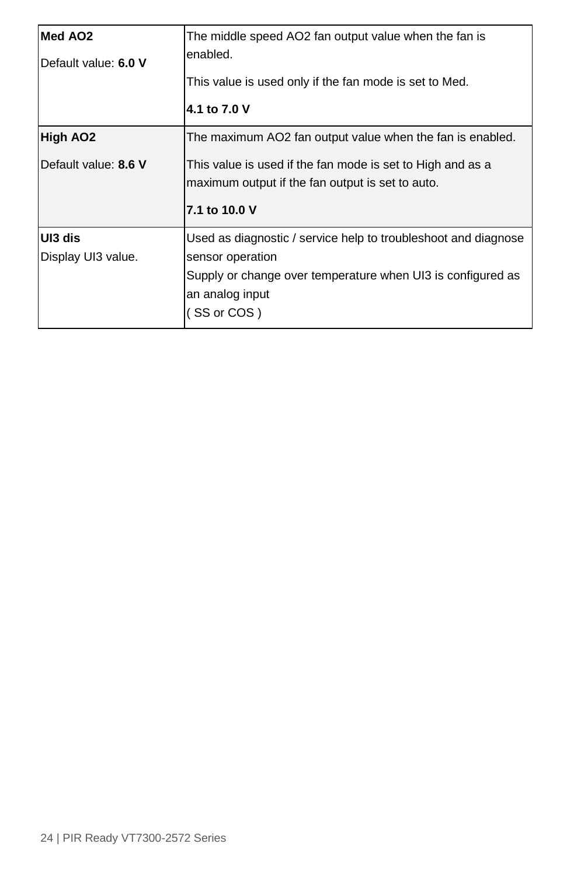| Med AO <sub>2</sub><br>Default value: 6.0 V | The middle speed AO2 fan output value when the fan is<br>enabled.<br>This value is used only if the fan mode is set to Med.<br>4.1 to 7.0 V                                                  |
|---------------------------------------------|----------------------------------------------------------------------------------------------------------------------------------------------------------------------------------------------|
| High AO2<br>Default value: 8.6 V            | The maximum AO2 fan output value when the fan is enabled.<br>This value is used if the fan mode is set to High and as a<br>maximum output if the fan output is set to auto.<br>7.1 to 10.0 V |
| UI3 dis<br>Display UI3 value.               | Used as diagnostic / service help to troubleshoot and diagnose<br>sensor operation<br>Supply or change over temperature when UI3 is configured as<br>an analog input<br>(SS or COS)          |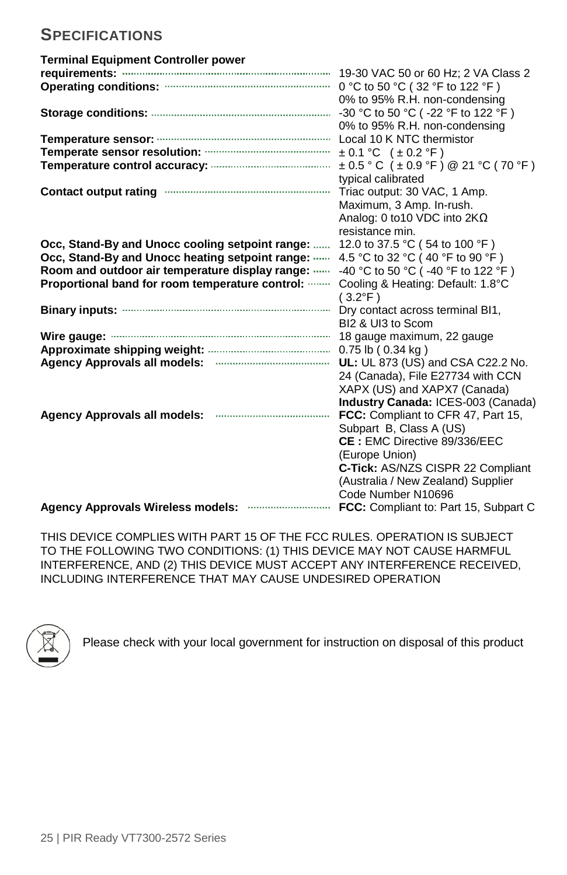# <span id="page-24-0"></span>**SPECIFICATIONS**

| <b>Terminal Equipment Controller power</b>                   |                                               |
|--------------------------------------------------------------|-----------------------------------------------|
|                                                              |                                               |
|                                                              | 0 °C to 50 °C (32 °F to 122 °F)               |
|                                                              | 0% to 95% R.H. non-condensing                 |
|                                                              | -30 °C to 50 °C ( -22 °F to 122 °F)           |
|                                                              | 0% to 95% R.H. non-condensing                 |
|                                                              | Local 10 K NTC thermistor                     |
|                                                              | $\pm 0.1$ °C ( $\pm 0.2$ °F)                  |
|                                                              | $\pm$ 0.5 ° C ( $\pm$ 0.9 °F) @ 21 °C (70 °F) |
|                                                              | typical calibrated                            |
| Contact output rating manufactured and contact output rating | Triac output: 30 VAC, 1 Amp.                  |
|                                                              | Maximum, 3 Amp. In-rush.                      |
|                                                              | Analog: 0 to 10 VDC into $2K\Omega$           |
|                                                              | resistance min.                               |
| Occ, Stand-By and Unocc cooling setpoint range:              | 12.0 to 37.5 °C (54 to 100 °F)                |
| Occ, Stand-By and Unocc heating setpoint range:              | 4.5 °C to 32 °C (40 °F to 90 °F)              |
| Room and outdoor air temperature display range:              | -40 °C to 50 °C ( -40 °F to 122 °F)           |
| Proportional band for room temperature control:              | Cooling & Heating: Default: 1.8°C             |
|                                                              | $(3.2^{\circ}F)$                              |
|                                                              |                                               |
|                                                              | BI2 & UI3 to Scom                             |
|                                                              | 18 gauge maximum, 22 gauge                    |
|                                                              |                                               |
|                                                              | UL: UL 873 (US) and CSA C22.2 No.             |
|                                                              | 24 (Canada), File E27734 with CCN             |
|                                                              | XAPX (US) and XAPX7 (Canada)                  |
|                                                              | Industry Canada: ICES-003 (Canada)            |
| <b>Agency Approvals all models:</b>                          | FCC: Compliant to CFR 47, Part 15,            |
|                                                              | Subpart B, Class A (US)                       |
|                                                              | CE: EMC Directive 89/336/EEC                  |
|                                                              |                                               |
|                                                              | (Europe Union)                                |
|                                                              | C-Tick: AS/NZS CISPR 22 Compliant             |
|                                                              | (Australia / New Zealand) Supplier            |
|                                                              | Code Number N10696                            |
|                                                              | FCC: Compliant to: Part 15, Subpart C         |

THIS DEVICE COMPLIES WITH PART 15 OF THE FCC RULES. OPERATION IS SUBJECT TO THE FOLLOWING TWO CONDITIONS: (1) THIS DEVICE MAY NOT CAUSE HARMFUL INTERFERENCE, AND (2) THIS DEVICE MUST ACCEPT ANY INTERFERENCE RECEIVED, INCLUDING INTERFERENCE THAT MAY CAUSE UNDESIRED OPERATION



Please check with your local government for instruction on disposal of this product